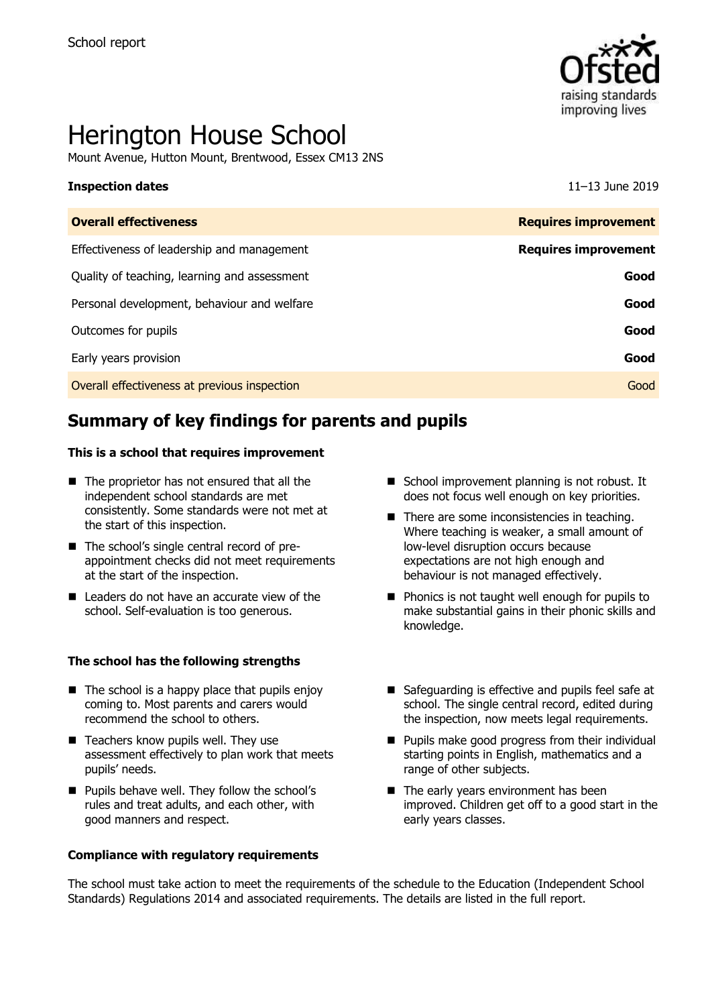

# Herington House School

Mount Avenue, Hutton Mount, Brentwood, Essex CM13 2NS

#### **Inspection dates** 11–13 June 2019

| <b>Overall effectiveness</b>                 | <b>Requires improvement</b> |
|----------------------------------------------|-----------------------------|
| Effectiveness of leadership and management   | <b>Requires improvement</b> |
| Quality of teaching, learning and assessment | Good                        |
| Personal development, behaviour and welfare  | Good                        |
| Outcomes for pupils                          | Good                        |
| Early years provision                        | Good                        |
| Overall effectiveness at previous inspection | Good                        |
|                                              |                             |

# **Summary of key findings for parents and pupils**

#### **This is a school that requires improvement**

- $\blacksquare$  The proprietor has not ensured that all the independent school standards are met consistently. Some standards were not met at the start of this inspection.
- The school's single central record of preappointment checks did not meet requirements at the start of the inspection.
- $\blacksquare$  Leaders do not have an accurate view of the school. Self-evaluation is too generous.

#### **The school has the following strengths**

- $\blacksquare$  The school is a happy place that pupils enjoy coming to. Most parents and carers would recommend the school to others.
- $\blacksquare$  Teachers know pupils well. They use assessment effectively to plan work that meets pupils' needs.
- **Pupils behave well. They follow the school's** rules and treat adults, and each other, with good manners and respect.

#### **Compliance with regulatory requirements**

- School improvement planning is not robust. It does not focus well enough on key priorities.
- There are some inconsistencies in teaching. Where teaching is weaker, a small amount of low-level disruption occurs because expectations are not high enough and behaviour is not managed effectively.
- **Phonics is not taught well enough for pupils to** make substantial gains in their phonic skills and knowledge.
- Safeguarding is effective and pupils feel safe at school. The single central record, edited during the inspection, now meets legal requirements.
- **Pupils make good progress from their individual** starting points in English, mathematics and a range of other subjects.
- The early years environment has been improved. Children get off to a good start in the early years classes.

The school must take action to meet the requirements of the schedule to the Education (Independent School Standards) Regulations 2014 and associated requirements. The details are listed in the full report.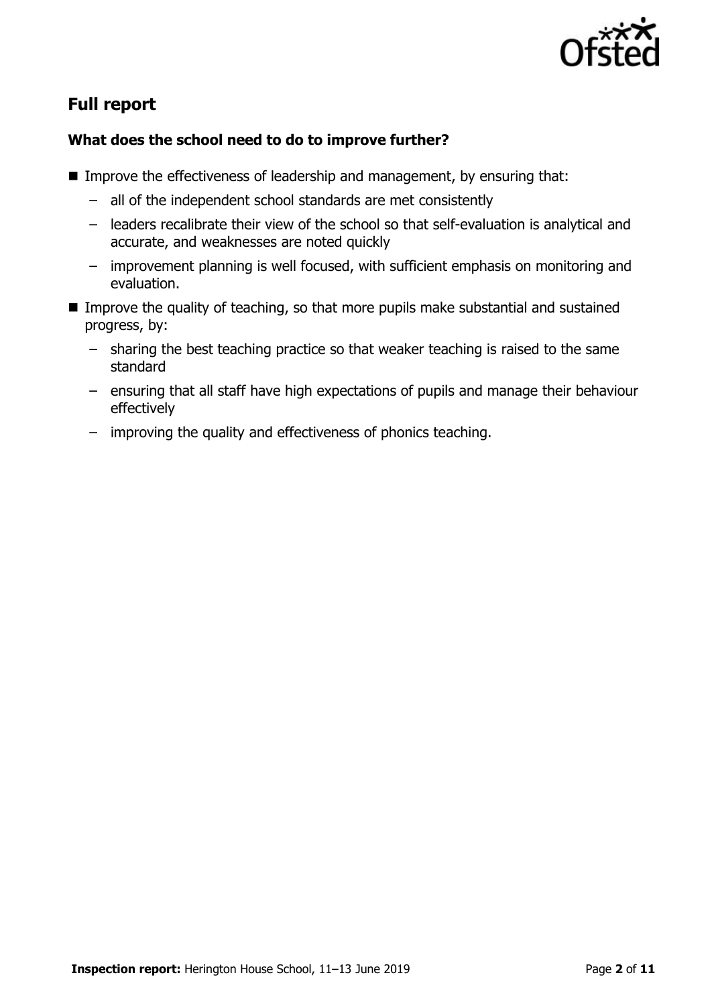

# **Full report**

### **What does the school need to do to improve further?**

- Improve the effectiveness of leadership and management, by ensuring that:
	- all of the independent school standards are met consistently
	- leaders recalibrate their view of the school so that self-evaluation is analytical and accurate, and weaknesses are noted quickly
	- improvement planning is well focused, with sufficient emphasis on monitoring and evaluation.
- Improve the quality of teaching, so that more pupils make substantial and sustained progress, by:
	- sharing the best teaching practice so that weaker teaching is raised to the same standard
	- ensuring that all staff have high expectations of pupils and manage their behaviour effectively
	- improving the quality and effectiveness of phonics teaching.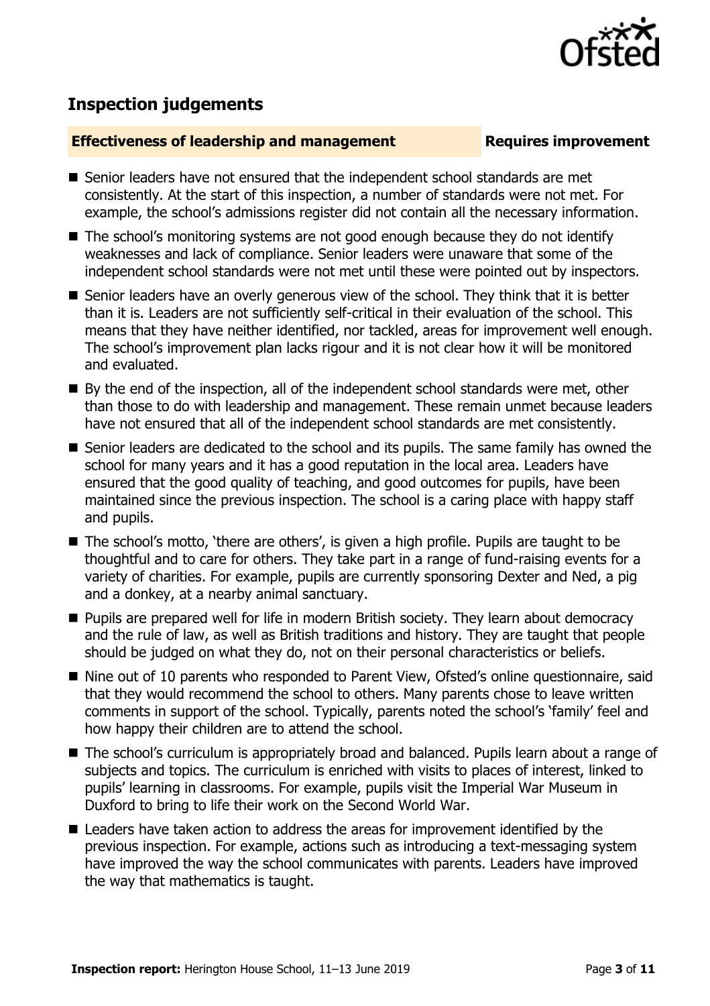

# **Inspection judgements**

#### **Effectiveness of leadership and management Requires improvement**

- Senior leaders have not ensured that the independent school standards are met consistently. At the start of this inspection, a number of standards were not met. For example, the school's admissions register did not contain all the necessary information.
- The school's monitoring systems are not good enough because they do not identify weaknesses and lack of compliance. Senior leaders were unaware that some of the independent school standards were not met until these were pointed out by inspectors.
- Senior leaders have an overly generous view of the school. They think that it is better than it is. Leaders are not sufficiently self-critical in their evaluation of the school. This means that they have neither identified, nor tackled, areas for improvement well enough. The school's improvement plan lacks rigour and it is not clear how it will be monitored and evaluated.
- By the end of the inspection, all of the independent school standards were met, other than those to do with leadership and management. These remain unmet because leaders have not ensured that all of the independent school standards are met consistently.
- Senior leaders are dedicated to the school and its pupils. The same family has owned the school for many years and it has a good reputation in the local area. Leaders have ensured that the good quality of teaching, and good outcomes for pupils, have been maintained since the previous inspection. The school is a caring place with happy staff and pupils.
- The school's motto, 'there are others', is given a high profile. Pupils are taught to be thoughtful and to care for others. They take part in a range of fund-raising events for a variety of charities. For example, pupils are currently sponsoring Dexter and Ned, a pig and a donkey, at a nearby animal sanctuary.
- **Pupils are prepared well for life in modern British society. They learn about democracy** and the rule of law, as well as British traditions and history. They are taught that people should be judged on what they do, not on their personal characteristics or beliefs.
- Nine out of 10 parents who responded to Parent View, Ofsted's online questionnaire, said that they would recommend the school to others. Many parents chose to leave written comments in support of the school. Typically, parents noted the school's 'family' feel and how happy their children are to attend the school.
- The school's curriculum is appropriately broad and balanced. Pupils learn about a range of subjects and topics. The curriculum is enriched with visits to places of interest, linked to pupils' learning in classrooms. For example, pupils visit the Imperial War Museum in Duxford to bring to life their work on the Second World War.
- Leaders have taken action to address the areas for improvement identified by the previous inspection. For example, actions such as introducing a text-messaging system have improved the way the school communicates with parents. Leaders have improved the way that mathematics is taught.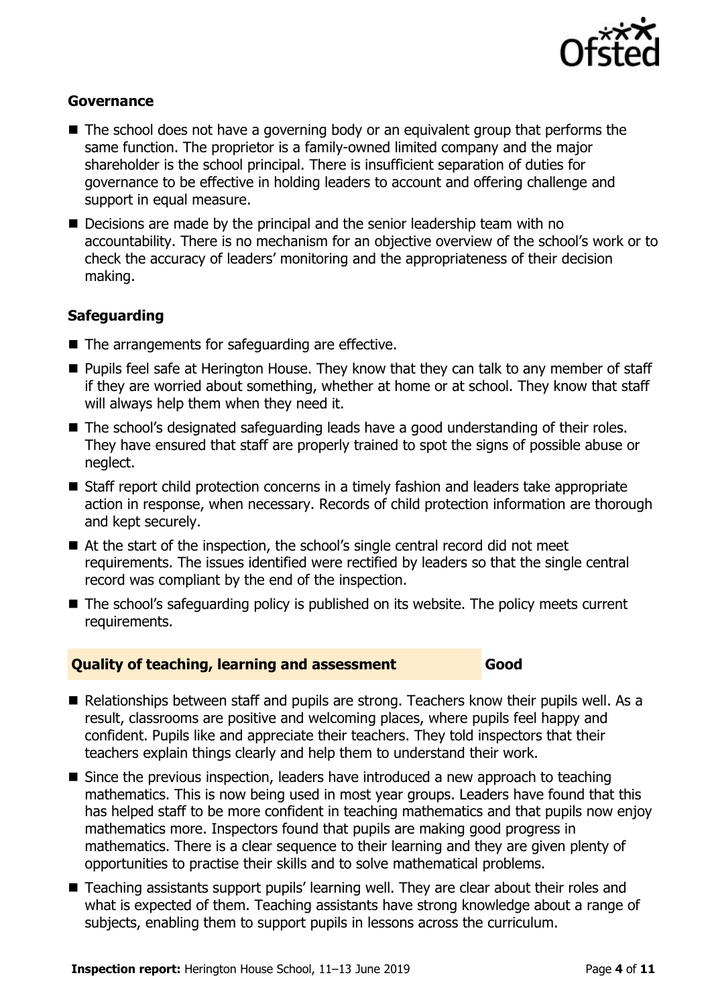

#### **Governance**

- $\blacksquare$  The school does not have a governing body or an equivalent group that performs the same function. The proprietor is a family-owned limited company and the major shareholder is the school principal. There is insufficient separation of duties for governance to be effective in holding leaders to account and offering challenge and support in equal measure.
- Decisions are made by the principal and the senior leadership team with no accountability. There is no mechanism for an objective overview of the school's work or to check the accuracy of leaders' monitoring and the appropriateness of their decision making.

#### **Safeguarding**

- The arrangements for safeguarding are effective.
- **Pupils feel safe at Herington House. They know that they can talk to any member of staff** if they are worried about something, whether at home or at school. They know that staff will always help them when they need it.
- The school's designated safeguarding leads have a good understanding of their roles. They have ensured that staff are properly trained to spot the signs of possible abuse or neglect.
- Staff report child protection concerns in a timely fashion and leaders take appropriate action in response, when necessary. Records of child protection information are thorough and kept securely.
- At the start of the inspection, the school's single central record did not meet requirements. The issues identified were rectified by leaders so that the single central record was compliant by the end of the inspection.
- The school's safeguarding policy is published on its website. The policy meets current requirements.

#### **Quality of teaching, learning and assessment Good**

- Relationships between staff and pupils are strong. Teachers know their pupils well. As a result, classrooms are positive and welcoming places, where pupils feel happy and confident. Pupils like and appreciate their teachers. They told inspectors that their teachers explain things clearly and help them to understand their work.
- Since the previous inspection, leaders have introduced a new approach to teaching mathematics. This is now being used in most year groups. Leaders have found that this has helped staff to be more confident in teaching mathematics and that pupils now enjoy mathematics more. Inspectors found that pupils are making good progress in mathematics. There is a clear sequence to their learning and they are given plenty of opportunities to practise their skills and to solve mathematical problems.
- Teaching assistants support pupils' learning well. They are clear about their roles and what is expected of them. Teaching assistants have strong knowledge about a range of subjects, enabling them to support pupils in lessons across the curriculum.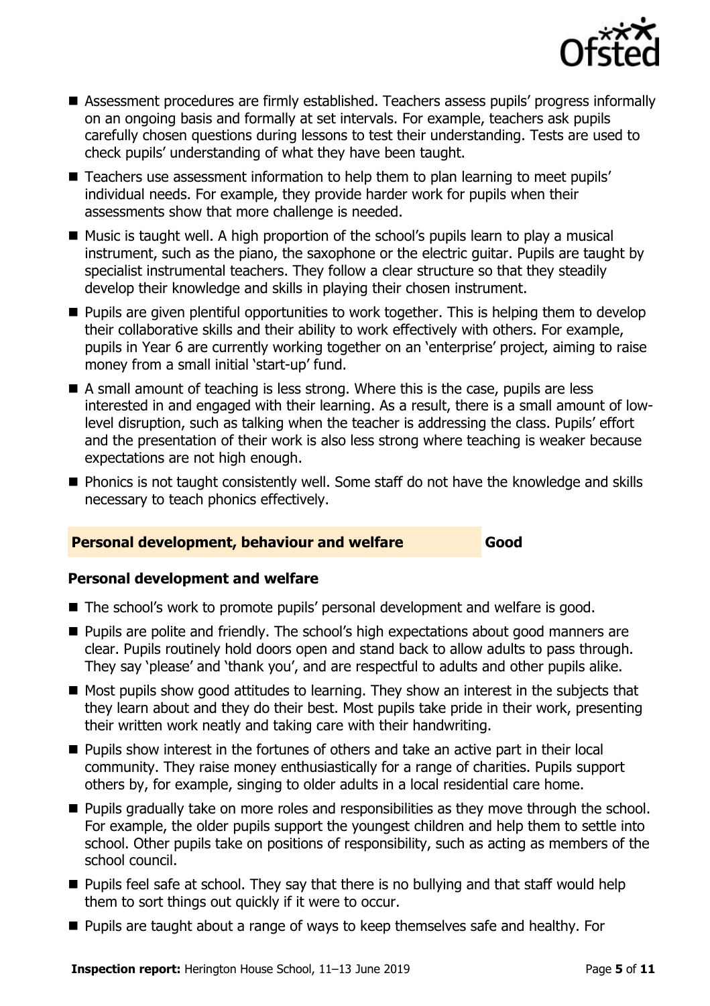

- Assessment procedures are firmly established. Teachers assess pupils' progress informally on an ongoing basis and formally at set intervals. For example, teachers ask pupils carefully chosen questions during lessons to test their understanding. Tests are used to check pupils' understanding of what they have been taught.
- Teachers use assessment information to help them to plan learning to meet pupils' individual needs. For example, they provide harder work for pupils when their assessments show that more challenge is needed.
- Music is taught well. A high proportion of the school's pupils learn to play a musical instrument, such as the piano, the saxophone or the electric guitar. Pupils are taught by specialist instrumental teachers. They follow a clear structure so that they steadily develop their knowledge and skills in playing their chosen instrument.
- **Pupils are given plentiful opportunities to work together. This is helping them to develop** their collaborative skills and their ability to work effectively with others. For example, pupils in Year 6 are currently working together on an 'enterprise' project, aiming to raise money from a small initial 'start-up' fund.
- A small amount of teaching is less strong. Where this is the case, pupils are less interested in and engaged with their learning. As a result, there is a small amount of lowlevel disruption, such as talking when the teacher is addressing the class. Pupils' effort and the presentation of their work is also less strong where teaching is weaker because expectations are not high enough.
- Phonics is not taught consistently well. Some staff do not have the knowledge and skills necessary to teach phonics effectively.

#### **Personal development, behaviour and welfare Good**

#### **Personal development and welfare**

- The school's work to promote pupils' personal development and welfare is good.
- **Pupils are polite and friendly. The school's high expectations about good manners are** clear. Pupils routinely hold doors open and stand back to allow adults to pass through. They say 'please' and 'thank you', and are respectful to adults and other pupils alike.
- Most pupils show good attitudes to learning. They show an interest in the subjects that they learn about and they do their best. Most pupils take pride in their work, presenting their written work neatly and taking care with their handwriting.
- **Pupils show interest in the fortunes of others and take an active part in their local** community. They raise money enthusiastically for a range of charities. Pupils support others by, for example, singing to older adults in a local residential care home.
- **Pupils gradually take on more roles and responsibilities as they move through the school.** For example, the older pupils support the youngest children and help them to settle into school. Other pupils take on positions of responsibility, such as acting as members of the school council.
- **Pupils feel safe at school. They say that there is no bullying and that staff would help** them to sort things out quickly if it were to occur.
- **Pupils are taught about a range of ways to keep themselves safe and healthy. For**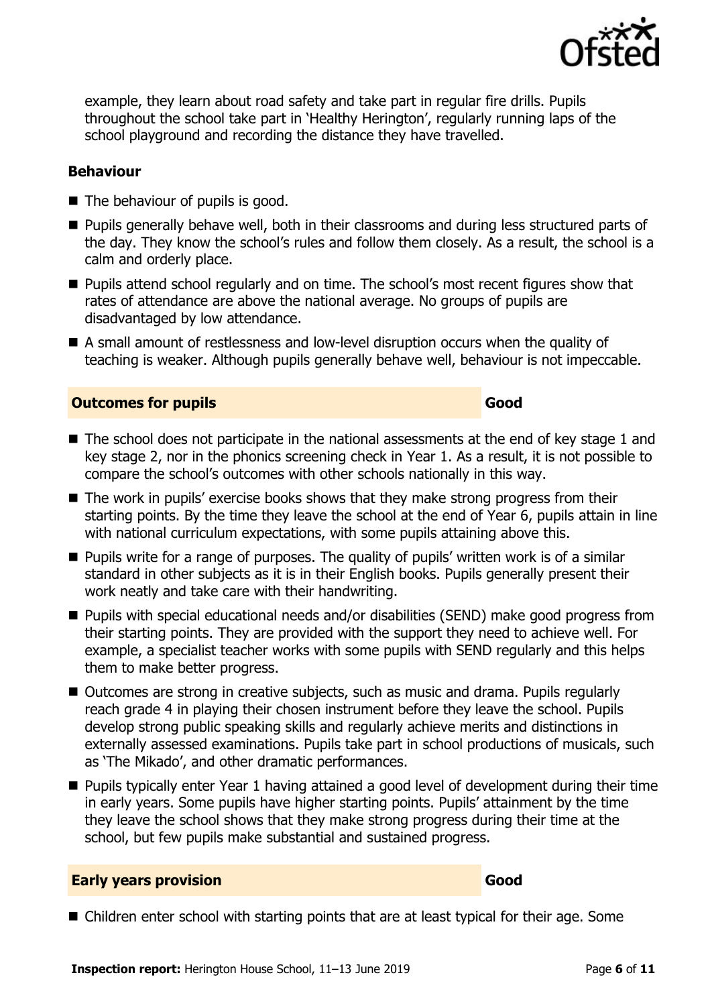

example, they learn about road safety and take part in regular fire drills. Pupils throughout the school take part in 'Healthy Herington', regularly running laps of the school playground and recording the distance they have travelled.

#### **Behaviour**

- The behaviour of pupils is good.
- **Pupils generally behave well, both in their classrooms and during less structured parts of** the day. They know the school's rules and follow them closely. As a result, the school is a calm and orderly place.
- **Pupils attend school regularly and on time. The school's most recent figures show that** rates of attendance are above the national average. No groups of pupils are disadvantaged by low attendance.
- A small amount of restlessness and low-level disruption occurs when the quality of teaching is weaker. Although pupils generally behave well, behaviour is not impeccable.

### **Outcomes for pupils Good Good**

- The school does not participate in the national assessments at the end of key stage 1 and key stage 2, nor in the phonics screening check in Year 1. As a result, it is not possible to compare the school's outcomes with other schools nationally in this way.
- The work in pupils' exercise books shows that they make strong progress from their starting points. By the time they leave the school at the end of Year 6, pupils attain in line with national curriculum expectations, with some pupils attaining above this.
- **Pupils write for a range of purposes. The quality of pupils' written work is of a similar** standard in other subjects as it is in their English books. Pupils generally present their work neatly and take care with their handwriting.
- Pupils with special educational needs and/or disabilities (SEND) make good progress from their starting points. They are provided with the support they need to achieve well. For example, a specialist teacher works with some pupils with SEND regularly and this helps them to make better progress.
- Outcomes are strong in creative subiects, such as music and drama. Pupils regularly reach grade 4 in playing their chosen instrument before they leave the school. Pupils develop strong public speaking skills and regularly achieve merits and distinctions in externally assessed examinations. Pupils take part in school productions of musicals, such as 'The Mikado', and other dramatic performances.
- Pupils typically enter Year 1 having attained a good level of development during their time in early years. Some pupils have higher starting points. Pupils' attainment by the time they leave the school shows that they make strong progress during their time at the school, but few pupils make substantial and sustained progress.

#### **Early years provision Good Good**

■ Children enter school with starting points that are at least typical for their age. Some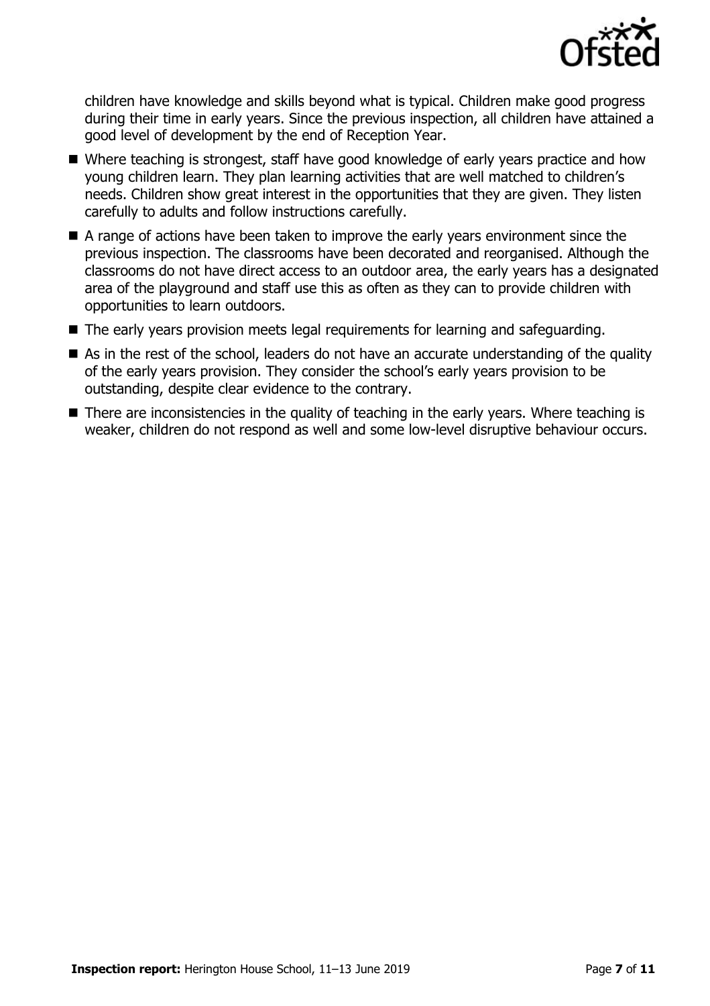

children have knowledge and skills beyond what is typical. Children make good progress during their time in early years. Since the previous inspection, all children have attained a good level of development by the end of Reception Year.

- Where teaching is strongest, staff have good knowledge of early vears practice and how young children learn. They plan learning activities that are well matched to children's needs. Children show great interest in the opportunities that they are given. They listen carefully to adults and follow instructions carefully.
- A range of actions have been taken to improve the early years environment since the previous inspection. The classrooms have been decorated and reorganised. Although the classrooms do not have direct access to an outdoor area, the early years has a designated area of the playground and staff use this as often as they can to provide children with opportunities to learn outdoors.
- The early years provision meets legal requirements for learning and safeguarding.
- As in the rest of the school, leaders do not have an accurate understanding of the quality of the early years provision. They consider the school's early years provision to be outstanding, despite clear evidence to the contrary.
- There are inconsistencies in the quality of teaching in the early years. Where teaching is weaker, children do not respond as well and some low-level disruptive behaviour occurs.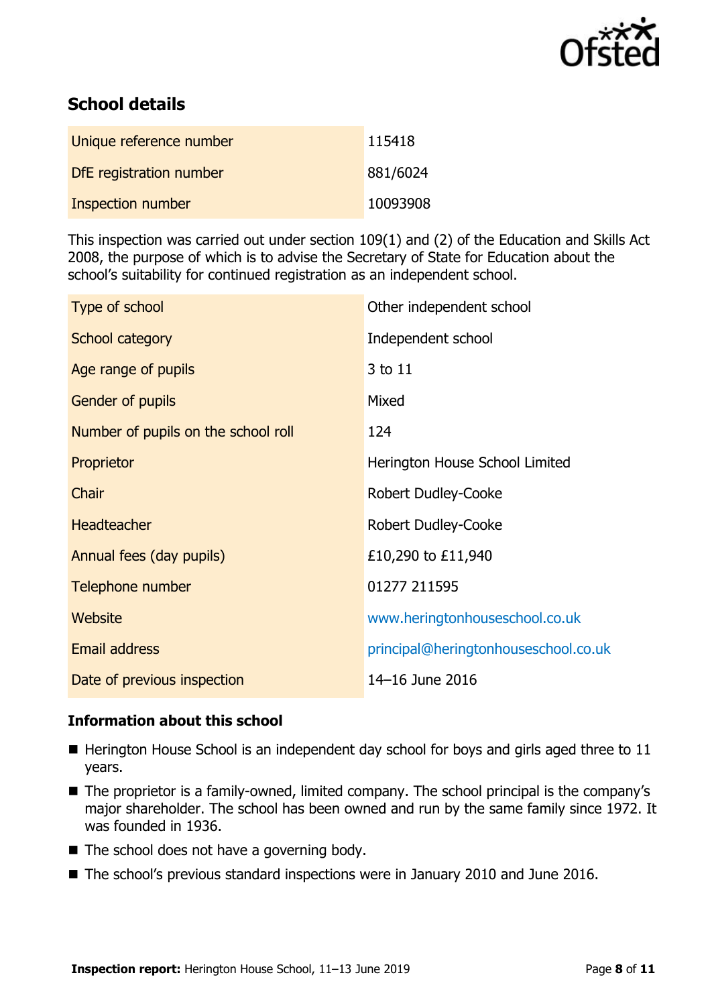

# **School details**

| Unique reference number | 115418   |
|-------------------------|----------|
| DfE registration number | 881/6024 |
| Inspection number       | 10093908 |

This inspection was carried out under section 109(1) and (2) of the Education and Skills Act 2008, the purpose of which is to advise the Secretary of State for Education about the school's suitability for continued registration as an independent school.

| Type of school                      | Other independent school             |
|-------------------------------------|--------------------------------------|
| School category                     | Independent school                   |
| Age range of pupils                 | 3 to 11                              |
| Gender of pupils                    | Mixed                                |
| Number of pupils on the school roll | 124                                  |
| Proprietor                          | Herington House School Limited       |
| Chair                               | <b>Robert Dudley-Cooke</b>           |
| <b>Headteacher</b>                  | Robert Dudley-Cooke                  |
| Annual fees (day pupils)            | £10,290 to £11,940                   |
| Telephone number                    | 01277 211595                         |
| Website                             | www.heringtonhouseschool.co.uk       |
| <b>Email address</b>                | principal@heringtonhouseschool.co.uk |
| Date of previous inspection         | 14-16 June 2016                      |

### **Information about this school**

- $\blacksquare$  Herington House School is an independent day school for boys and girls aged three to 11 years.
- The proprietor is a family-owned, limited company. The school principal is the company's major shareholder. The school has been owned and run by the same family since 1972. It was founded in 1936.
- $\blacksquare$  The school does not have a governing body.
- The school's previous standard inspections were in January 2010 and June 2016.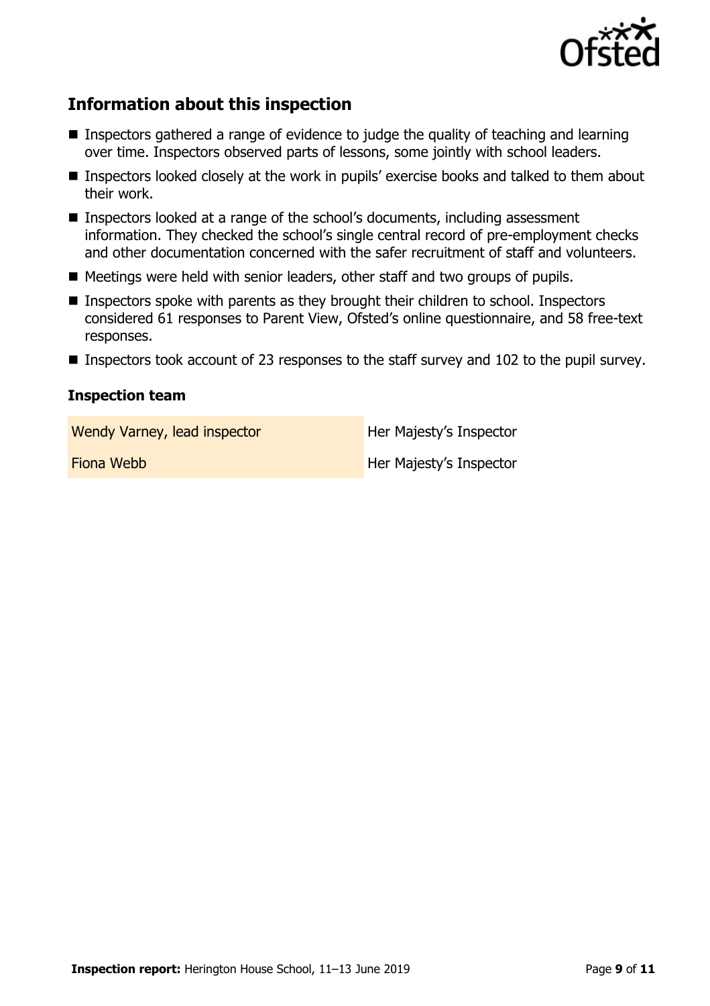

# **Information about this inspection**

- Inspectors gathered a range of evidence to judge the quality of teaching and learning over time. Inspectors observed parts of lessons, some jointly with school leaders.
- **Inspectors looked closely at the work in pupils' exercise books and talked to them about** their work.
- Inspectors looked at a range of the school's documents, including assessment information. They checked the school's single central record of pre-employment checks and other documentation concerned with the safer recruitment of staff and volunteers.
- Meetings were held with senior leaders, other staff and two groups of pupils.
- Inspectors spoke with parents as they brought their children to school. Inspectors considered 61 responses to Parent View, Ofsted's online questionnaire, and 58 free-text responses.
- Inspectors took account of 23 responses to the staff survey and 102 to the pupil survey.

#### **Inspection team**

Wendy Varney, lead inspector and Her Majesty's Inspector

**Fiona Webb Her Majesty's Inspector**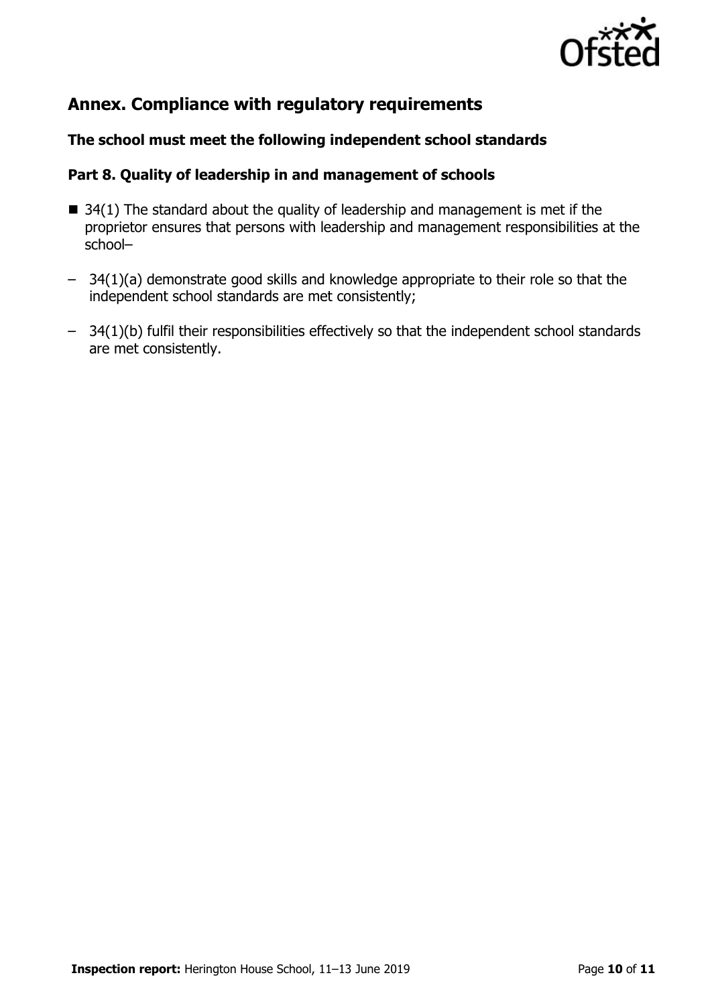

# **Annex. Compliance with regulatory requirements**

### **The school must meet the following independent school standards**

#### **Part 8. Quality of leadership in and management of schools**

- $\blacksquare$  34(1) The standard about the quality of leadership and management is met if the proprietor ensures that persons with leadership and management responsibilities at the school–
- 34(1)(a) demonstrate good skills and knowledge appropriate to their role so that the independent school standards are met consistently;
- 34(1)(b) fulfil their responsibilities effectively so that the independent school standards are met consistently.